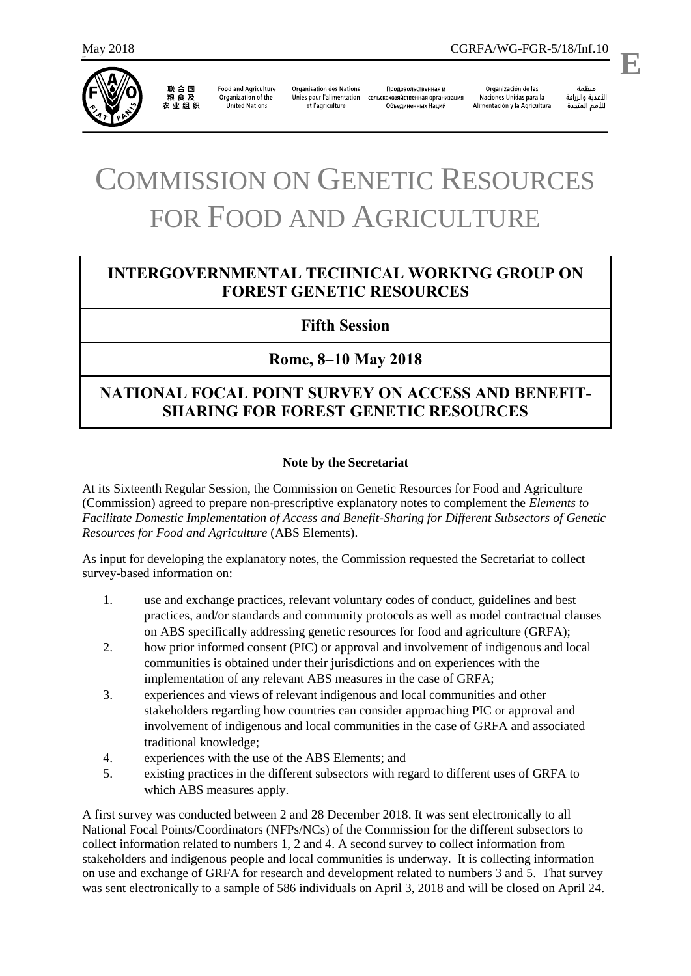577



联合国<br>粮食及 农业组织

**Food and Agriculture** Organization of the **United Nations** 

**Organisation des Nations** Unies pour l'alimentation et l'agriculture

Продовольственная и сельскохозяйственная организация Объединенных Наций

Organización de las Naciones Unidas para la Alimentación y la Agricultura

منظمة الأغذية والزراعة للأمم المتحدة

.

# COMMISSION ON GENETIC RESOURCES FOR FOOD AND AGRICULTURE

# **INTERGOVERNMENTAL TECHNICAL WORKING GROUP ON FOREST GENETIC RESOURCES**

### **Fifth Session**

## **Rome, 8–10 May 2018**

# **NATIONAL FOCAL POINT SURVEY ON ACCESS AND BENEFIT-SHARING FOR FOREST GENETIC RESOURCES**

#### **Note by the Secretariat**

At its Sixteenth Regular Session, the Commission on Genetic Resources for Food and Agriculture (Commission) agreed to prepare non-prescriptive explanatory notes to complement the *Elements to Facilitate Domestic Implementation of Access and Benefit-Sharing for Different Subsectors of Genetic Resources for Food and Agriculture* (ABS Elements).

As input for developing the explanatory notes, the Commission requested the Secretariat to collect survey-based information on:

- 1. use and exchange practices, relevant voluntary codes of conduct, guidelines and best practices, and/or standards and community protocols as well as model contractual clauses on ABS specifically addressing genetic resources for food and agriculture (GRFA);
- 2. how prior informed consent (PIC) or approval and involvement of indigenous and local communities is obtained under their jurisdictions and on experiences with the implementation of any relevant ABS measures in the case of GRFA;
- 3. experiences and views of relevant indigenous and local communities and other stakeholders regarding how countries can consider approaching PIC or approval and involvement of indigenous and local communities in the case of GRFA and associated traditional knowledge;
- 4. experiences with the use of the ABS Elements; and
- 5. existing practices in the different subsectors with regard to different uses of GRFA to which ABS measures apply.

A first survey was conducted between 2 and 28 December 2018. It was sent electronically to all National Focal Points/Coordinators (NFPs/NCs) of the Commission for the different subsectors to collect information related to numbers 1, 2 and 4. A second survey to collect information from stakeholders and indigenous people and local communities is underway. It is collecting information on use and exchange of GRFA for research and development related to numbers 3 and 5. That survey was sent electronically to a sample of 586 individuals on April 3, 2018 and will be closed on April 24.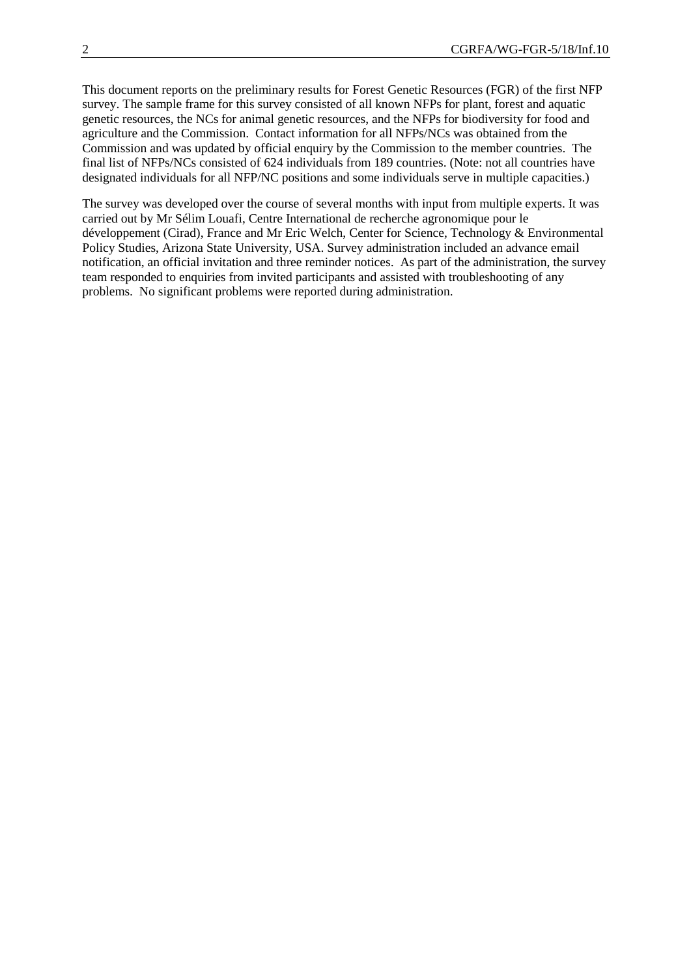This document reports on the preliminary results for Forest Genetic Resources (FGR) of the first NFP survey. The sample frame for this survey consisted of all known NFPs for plant, forest and aquatic genetic resources, the NCs for animal genetic resources, and the NFPs for biodiversity for food and agriculture and the Commission. Contact information for all NFPs/NCs was obtained from the Commission and was updated by official enquiry by the Commission to the member countries. The final list of NFPs/NCs consisted of 624 individuals from 189 countries. (Note: not all countries have designated individuals for all NFP/NC positions and some individuals serve in multiple capacities.)

The survey was developed over the course of several months with input from multiple experts. It was carried out by Mr Sélim Louafi, Centre International de recherche agronomique pour le développement (Cirad), France and Mr Eric Welch, Center for Science, Technology & Environmental Policy Studies, Arizona State University, USA. Survey administration included an advance email notification, an official invitation and three reminder notices. As part of the administration, the survey team responded to enquiries from invited participants and assisted with troubleshooting of any problems. No significant problems were reported during administration.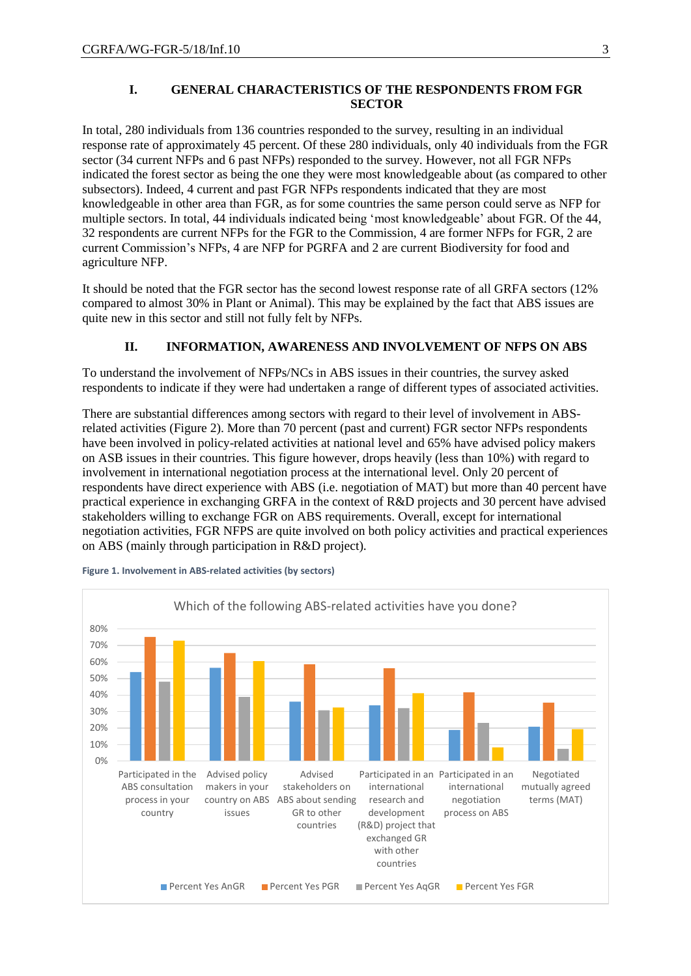#### **I. GENERAL CHARACTERISTICS OF THE RESPONDENTS FROM FGR SECTOR**

In total, 280 individuals from 136 countries responded to the survey, resulting in an individual response rate of approximately 45 percent. Of these 280 individuals, only 40 individuals from the FGR sector (34 current NFPs and 6 past NFPs) responded to the survey. However, not all FGR NFPs indicated the forest sector as being the one they were most knowledgeable about (as compared to other subsectors). Indeed, 4 current and past FGR NFPs respondents indicated that they are most knowledgeable in other area than FGR, as for some countries the same person could serve as NFP for multiple sectors. In total, 44 individuals indicated being 'most knowledgeable' about FGR. Of the 44, 32 respondents are current NFPs for the FGR to the Commission, 4 are former NFPs for FGR, 2 are current Commission's NFPs, 4 are NFP for PGRFA and 2 are current Biodiversity for food and agriculture NFP.

It should be noted that the FGR sector has the second lowest response rate of all GRFA sectors (12% compared to almost 30% in Plant or Animal). This may be explained by the fact that ABS issues are quite new in this sector and still not fully felt by NFPs.

#### **II. INFORMATION, AWARENESS AND INVOLVEMENT OF NFPS ON ABS**

To understand the involvement of NFPs/NCs in ABS issues in their countries, the survey asked respondents to indicate if they were had undertaken a range of different types of associated activities.

There are substantial differences among sectors with regard to their level of involvement in ABSrelated activities (Figure 2). More than 70 percent (past and current) FGR sector NFPs respondents have been involved in policy-related activities at national level and 65% have advised policy makers on ASB issues in their countries. This figure however, drops heavily (less than 10%) with regard to involvement in international negotiation process at the international level. Only 20 percent of respondents have direct experience with ABS (i.e. negotiation of MAT) but more than 40 percent have practical experience in exchanging GRFA in the context of R&D projects and 30 percent have advised stakeholders willing to exchange FGR on ABS requirements. Overall, except for international negotiation activities, FGR NFPS are quite involved on both policy activities and practical experiences on ABS (mainly through participation in R&D project).



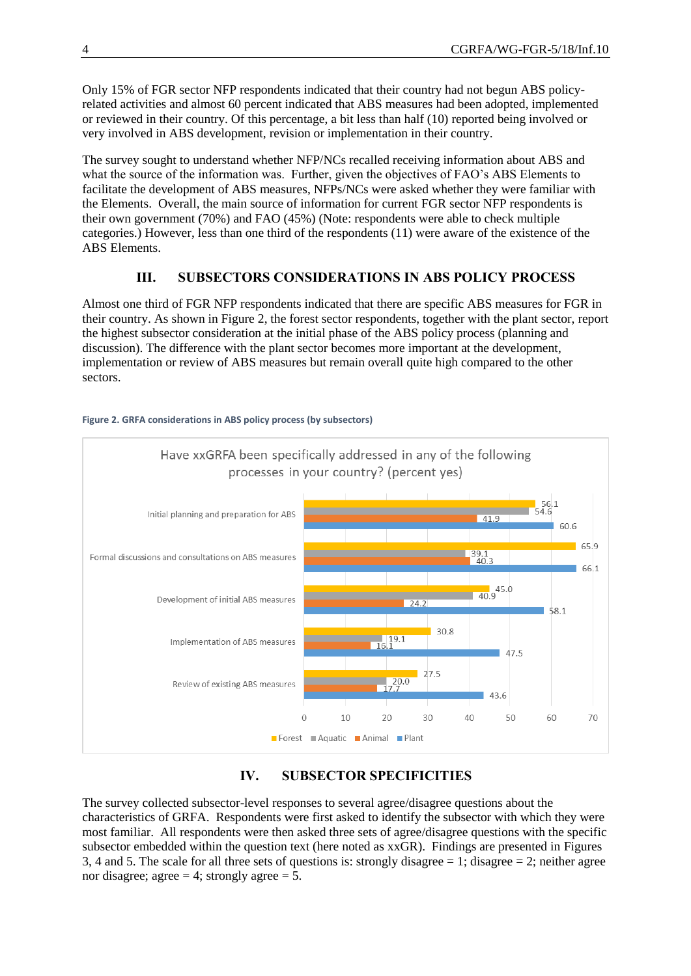Only 15% of FGR sector NFP respondents indicated that their country had not begun ABS policyrelated activities and almost 60 percent indicated that ABS measures had been adopted, implemented or reviewed in their country. Of this percentage, a bit less than half (10) reported being involved or very involved in ABS development, revision or implementation in their country.

The survey sought to understand whether NFP/NCs recalled receiving information about ABS and what the source of the information was. Further, given the objectives of FAO's ABS Elements to facilitate the development of ABS measures, NFPs/NCs were asked whether they were familiar with the Elements. Overall, the main source of information for current FGR sector NFP respondents is their own government (70%) and FAO (45%) (Note: respondents were able to check multiple categories.) However, less than one third of the respondents (11) were aware of the existence of the ABS Elements.

#### **III. SUBSECTORS CONSIDERATIONS IN ABS POLICY PROCESS**

Almost one third of FGR NFP respondents indicated that there are specific ABS measures for FGR in their country. As shown in Figure 2, the forest sector respondents, together with the plant sector, report the highest subsector consideration at the initial phase of the ABS policy process (planning and discussion). The difference with the plant sector becomes more important at the development, implementation or review of ABS measures but remain overall quite high compared to the other sectors.



#### **Figure 2. GRFA considerations in ABS policy process (by subsectors)**

#### **IV. SUBSECTOR SPECIFICITIES**

The survey collected subsector-level responses to several agree/disagree questions about the characteristics of GRFA. Respondents were first asked to identify the subsector with which they were most familiar. All respondents were then asked three sets of agree/disagree questions with the specific subsector embedded within the question text (here noted as xxGR). Findings are presented in Figures 3, 4 and 5. The scale for all three sets of questions is: strongly disagree  $= 1$ ; disagree  $= 2$ ; neither agree nor disagree; agree  $= 4$ ; strongly agree  $= 5$ .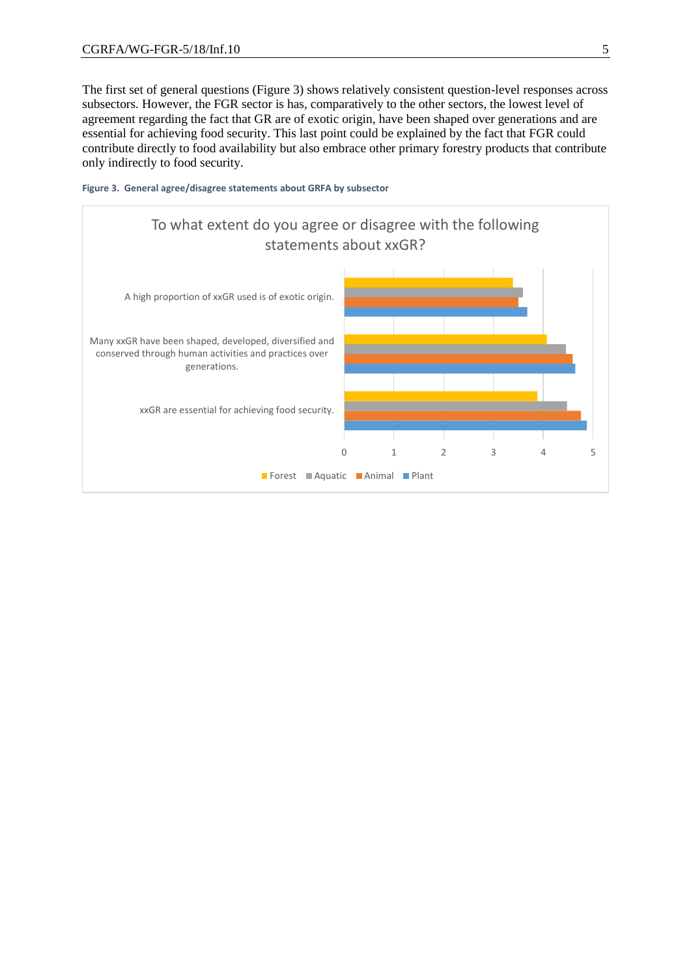The first set of general questions (Figure 3) shows relatively consistent question-level responses across subsectors. However, the FGR sector is has, comparatively to the other sectors, the lowest level of agreement regarding the fact that GR are of exotic origin, have been shaped over generations and are essential for achieving food security. This last point could be explained by the fact that FGR could contribute directly to food availability but also embrace other primary forestry products that contribute only indirectly to food security.



#### **Figure 3. General agree/disagree statements about GRFA by subsector**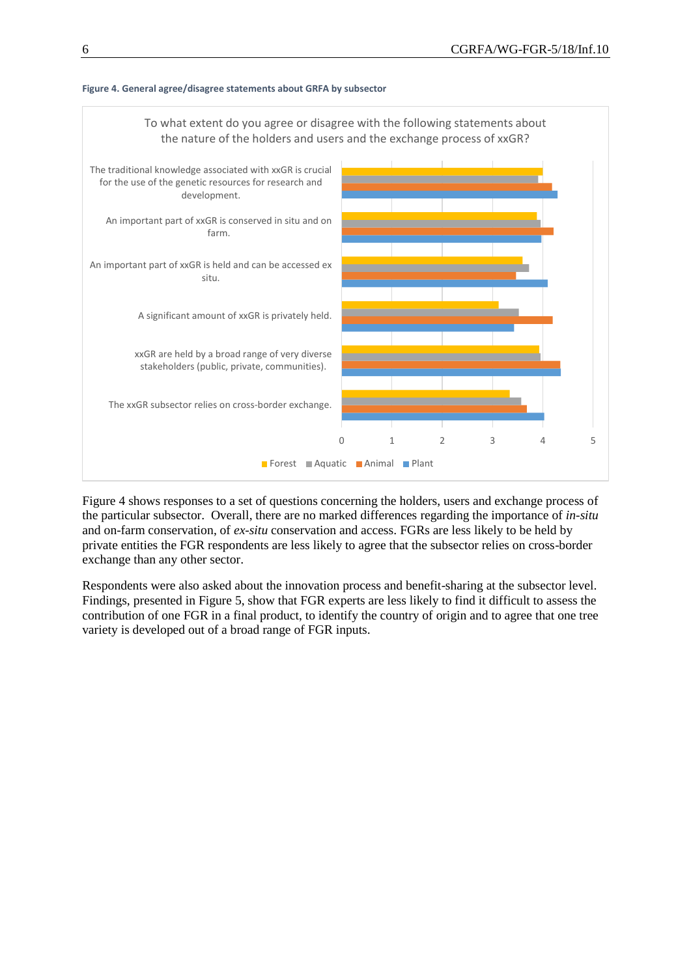

#### **Figure 4. General agree/disagree statements about GRFA by subsector**

Figure 4 shows responses to a set of questions concerning the holders, users and exchange process of the particular subsector. Overall, there are no marked differences regarding the importance of *in-situ* and on-farm conservation, of *ex-situ* conservation and access. FGRs are less likely to be held by private entities the FGR respondents are less likely to agree that the subsector relies on cross-border exchange than any other sector.

Respondents were also asked about the innovation process and benefit-sharing at the subsector level. Findings, presented in Figure 5, show that FGR experts are less likely to find it difficult to assess the contribution of one FGR in a final product, to identify the country of origin and to agree that one tree variety is developed out of a broad range of FGR inputs.